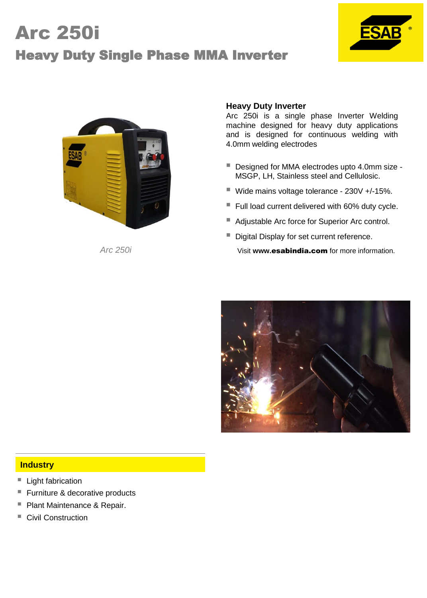# Arc 250i Heavy Duty Single Phase MMA Inverter





### **Heavy Duty Inverter**

Arc 250i is a single phase Inverter Welding machine designed for heavy duty applications and is designed for continuous welding with 4.0mm welding electrodes

- Designed for MMA electrodes upto 4.0mm size -MSGP, LH, Stainless steel and Cellulosic.
- Wide mains voltage tolerance 230V +/-15%.
- Full load current delivered with 60% duty cycle.
- Adjustable Arc force for Superior Arc control.
- Digital Display for set current reference.

*Arc 250i* Visit **www.**esabindia.com for more information.



#### **Industry**

- Light fabrication
- Furniture & decorative products
- **Plant Maintenance & Repair.**
- Civil Construction